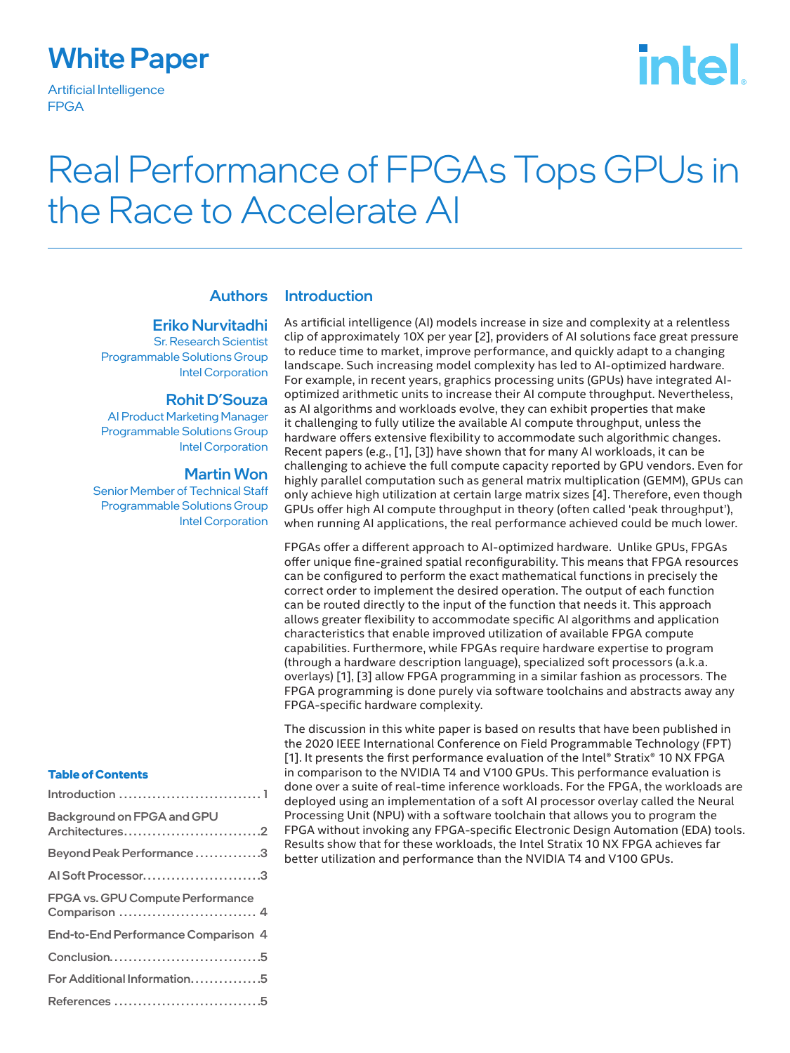### White Paper

Artificial Intelligence FPGA

# **intel**

## Real Performance of FPGAs Tops GPUs in the Race to Accelerate AI

#### Authors

#### Eriko Nurvitadhi

Sr. Research Scientist Programmable Solutions Group Intel Corporation

#### Rohit D'Souza

AI Product Marketing Manager Programmable Solutions Group Intel Corporation

#### Martin Won

Senior Member of Technical Staff Programmable Solutions Group Intel Corporation

#### **Table of Contents**

| Introduction  1                                   |
|---------------------------------------------------|
| Background on FPGA and GPU<br>Architectures2      |
| Beyond Peak Performance3                          |
| Al Soft Processor3                                |
| FPGA vs. GPU Compute Performance<br>Comparison  4 |
| End-to-End Performance Comparison 4               |
| Conclusion5                                       |
| For Additional Information5                       |
| References 5                                      |

### Introduction

As artificial intelligence (AI) models increase in size and complexity at a relentless clip of approximately 10X per year [2], providers of AI solutions face great pressure to reduce time to market, improve performance, and quickly adapt to a changing landscape. Such increasing model complexity has led to AI-optimized hardware. For example, in recent years, graphics processing units (GPUs) have integrated AIoptimized arithmetic units to increase their AI compute throughput. Nevertheless, as AI algorithms and workloads evolve, they can exhibit properties that make it challenging to fully utilize the available AI compute throughput, unless the hardware offers extensive flexibility to accommodate such algorithmic changes. Recent papers (e.g., [1], [3]) have shown that for many AI workloads, it can be challenging to achieve the full compute capacity reported by GPU vendors. Even for highly parallel computation such as general matrix multiplication (GEMM), GPUs can only achieve high utilization at certain large matrix sizes [4]. Therefore, even though GPUs offer high AI compute throughput in theory (often called 'peak throughput'), when running AI applications, the real performance achieved could be much lower.

FPGAs offer a different approach to AI-optimized hardware. Unlike GPUs, FPGAs offer unique fine-grained spatial reconfigurability. This means that FPGA resources can be configured to perform the exact mathematical functions in precisely the correct order to implement the desired operation. The output of each function can be routed directly to the input of the function that needs it. This approach allows greater flexibility to accommodate specific AI algorithms and application characteristics that enable improved utilization of available FPGA compute capabilities. Furthermore, while FPGAs require hardware expertise to program (through a hardware description language), specialized soft processors (a.k.a. overlays) [1], [3] allow FPGA programming in a similar fashion as processors. The FPGA programming is done purely via software toolchains and abstracts away any FPGA-specific hardware complexity.

The discussion in this white paper is based on results that have been published in the 2020 IEEE International Conference on Field Programmable Technology (FPT) [1]. It presents the first performance evaluation of the Intel® Stratix® 10 NX FPGA in comparison to the NVIDIA T4 and V100 GPUs. This performance evaluation is done over a suite of real-time inference workloads. For the FPGA, the workloads are deployed using an implementation of a soft AI processor overlay called the Neural Processing Unit (NPU) with a software toolchain that allows you to program the FPGA without invoking any FPGA-specific Electronic Design Automation (EDA) tools. Results show that for these workloads, the Intel Stratix 10 NX FPGA achieves far better utilization and performance than the NVIDIA T4 and V100 GPUs.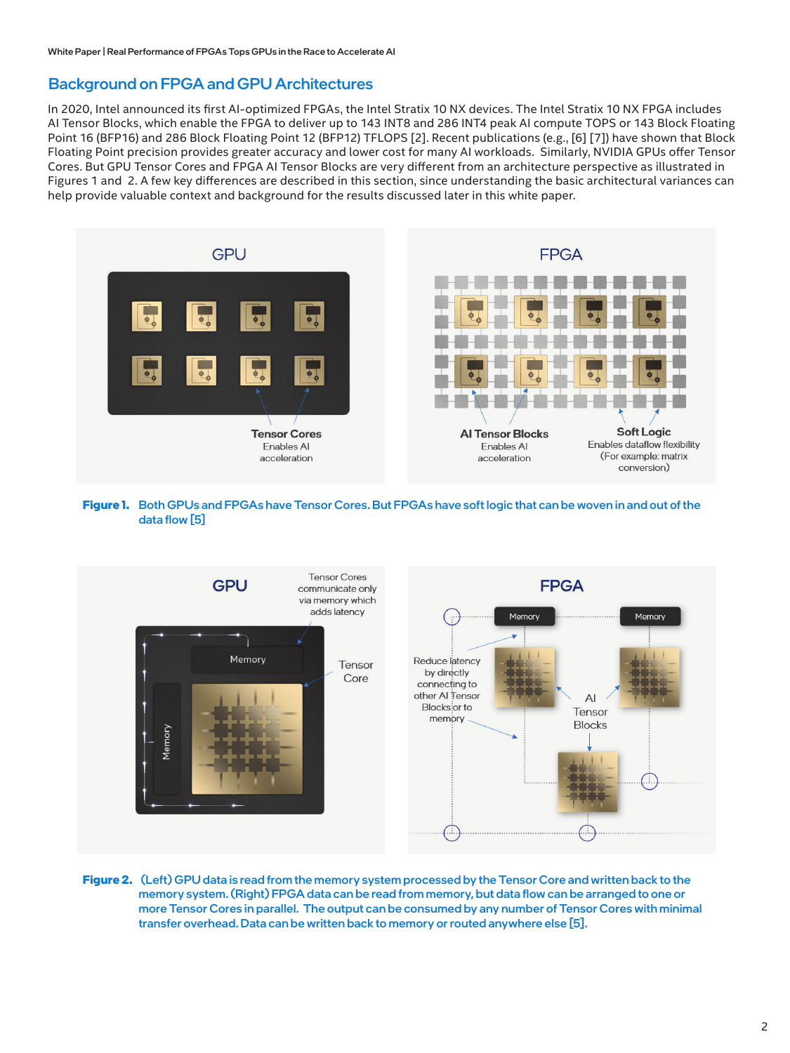#### Background on FPGA and GPU Architectures

In 2020, Intel announced its first AI-optimized FPGAs, the Intel Stratix 10 NX devices. The Intel Stratix 10 NX FPGA includes AI Tensor Blocks, which enable the FPGA to deliver up to 143 INT8 and 286 INT4 peak AI compute TOPS or 143 Block Floating Point 16 (BFP16) and 286 Block Floating Point 12 (BFP12) TFLOPS [2]. Recent publications (e.g., [6] [7]) have shown that Block Floating Point precision provides greater accuracy and lower cost for many AI workloads. Similarly, NVIDIA GPUs offer Tensor Cores. But GPU Tensor Cores and FPGA AI Tensor Blocks are very different from an architecture perspective as illustrated in Figures 1 and 2. A few key differences are described in this section, since understanding the basic architectural variances can help provide valuable context and background for the results discussed later in this white paper.



#### **Figure 1.** Both GPUs and FPGAs have Tensor Cores. But FPGAs have soft logic that can be woven in and out of the data flow [5]



**Figure 2.** (Left) GPU data is read from the memory system processed by the Tensor Core and written back to the memory system. (Right) FPGA data can be read from memory, but data flow can be arranged to one or more Tensor Cores in parallel. The output can be consumed by any number of Tensor Cores with minimal transfer overhead. Data can be written back to memory or routed anywhere else [5].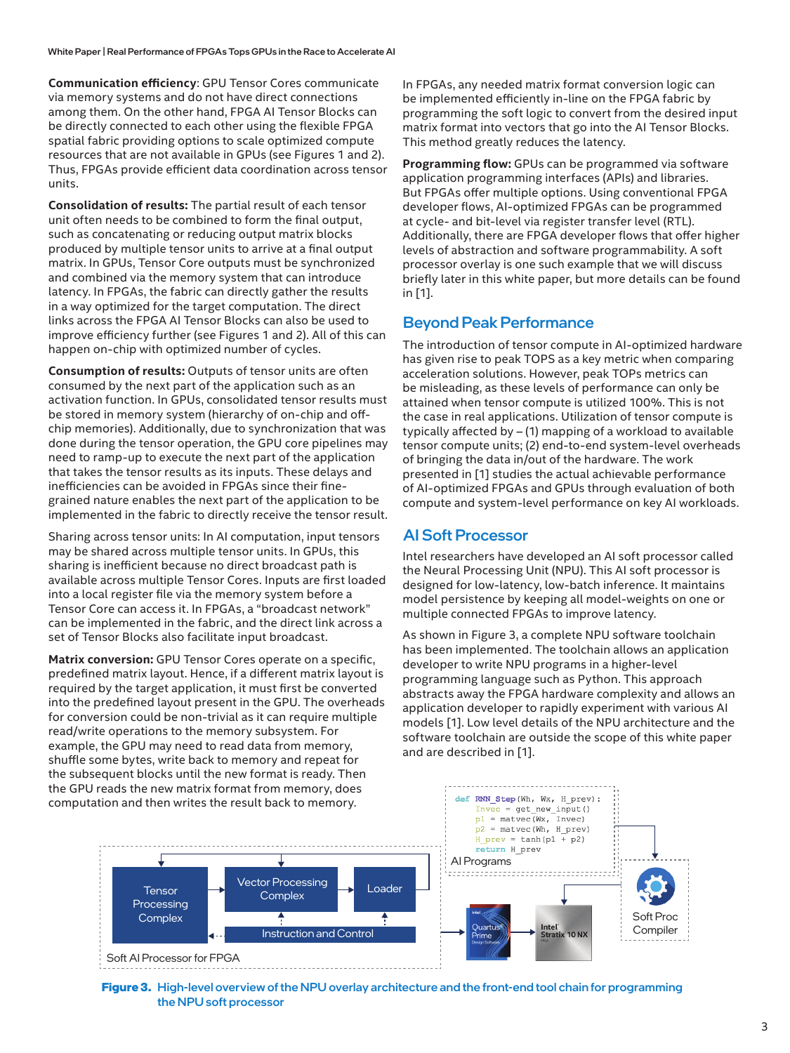**Communication efficiency**: GPU Tensor Cores communicate via memory systems and do not have direct connections among them. On the other hand, FPGA AI Tensor Blocks can be directly connected to each other using the flexible FPGA spatial fabric providing options to scale optimized compute resources that are not available in GPUs (see Figures 1 and 2). Thus, FPGAs provide efficient data coordination across tensor units.

**Consolidation of results:** The partial result of each tensor unit often needs to be combined to form the final output, such as concatenating or reducing output matrix blocks produced by multiple tensor units to arrive at a final output matrix. In GPUs, Tensor Core outputs must be synchronized and combined via the memory system that can introduce latency. In FPGAs, the fabric can directly gather the results in a way optimized for the target computation. The direct links across the FPGA AI Tensor Blocks can also be used to improve efficiency further (see Figures 1 and 2). All of this can happen on-chip with optimized number of cycles.

**Consumption of results:** Outputs of tensor units are often consumed by the next part of the application such as an activation function. In GPUs, consolidated tensor results must be stored in memory system (hierarchy of on-chip and offchip memories). Additionally, due to synchronization that was done during the tensor operation, the GPU core pipelines may need to ramp-up to execute the next part of the application that takes the tensor results as its inputs. These delays and inefficiencies can be avoided in FPGAs since their finegrained nature enables the next part of the application to be implemented in the fabric to directly receive the tensor result.

Sharing across tensor units: In AI computation, input tensors may be shared across multiple tensor units. In GPUs, this sharing is inefficient because no direct broadcast path is available across multiple Tensor Cores. Inputs are first loaded into a local register file via the memory system before a Tensor Core can access it. In FPGAs, a "broadcast network" can be implemented in the fabric, and the direct link across a set of Tensor Blocks also facilitate input broadcast.

**Matrix conversion:** GPU Tensor Cores operate on a specific, predefined matrix layout. Hence, if a different matrix layout is required by the target application, it must first be converted into the predefined layout present in the GPU. The overheads for conversion could be non-trivial as it can require multiple read/write operations to the memory subsystem. For example, the GPU may need to read data from memory, shuffle some bytes, write back to memory and repeat for the subsequent blocks until the new format is ready. Then the GPU reads the new matrix format from memory, does computation and then writes the result back to memory.

In FPGAs, any needed matrix format conversion logic can be implemented efficiently in-line on the FPGA fabric by programming the soft logic to convert from the desired input matrix format into vectors that go into the AI Tensor Blocks. This method greatly reduces the latency.

**Programming flow:** GPUs can be programmed via software application programming interfaces (APIs) and libraries. But FPGAs offer multiple options. Using conventional FPGA developer flows, AI-optimized FPGAs can be programmed at cycle- and bit-level via register transfer level (RTL). Additionally, there are FPGA developer flows that offer higher levels of abstraction and software programmability. A soft processor overlay is one such example that we will discuss briefly later in this white paper, but more details can be found in [1].

#### Beyond Peak Performance

The introduction of tensor compute in AI-optimized hardware has given rise to peak TOPS as a key metric when comparing acceleration solutions. However, peak TOPs metrics can be misleading, as these levels of performance can only be attained when tensor compute is utilized 100%. This is not the case in real applications. Utilization of tensor compute is typically affected by – (1) mapping of a workload to available tensor compute units; (2) end-to-end system-level overheads of bringing the data in/out of the hardware. The work presented in [1] studies the actual achievable performance of AI-optimized FPGAs and GPUs through evaluation of both compute and system-level performance on key AI workloads.

#### AI Soft Processor

Intel researchers have developed an AI soft processor called the Neural Processing Unit (NPU). This AI soft processor is designed for low-latency, low-batch inference. It maintains model persistence by keeping all model-weights on one or multiple connected FPGAs to improve latency.

As shown in Figure 3, a complete NPU software toolchain has been implemented. The toolchain allows an application developer to write NPU programs in a higher-level programming language such as Python. This approach abstracts away the FPGA hardware complexity and allows an application developer to rapidly experiment with various AI models [1]. Low level details of the NPU architecture and the software toolchain are outside the scope of this white paper and are described in [1].



**Figure 3.** High-level overview of the NPU overlay architecture and the front-end tool chain for programming the NPU soft processor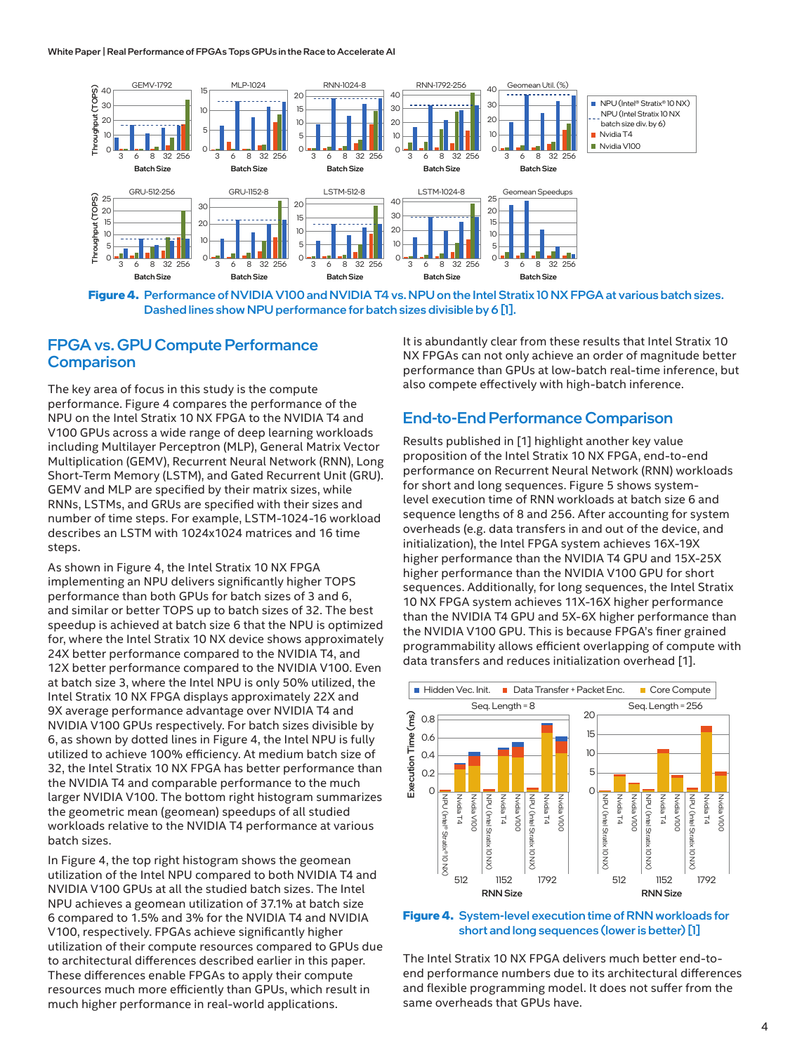#### White Paper | Real Performance of FPGAs Tops GPUs in the Race to Accelerate AI



**Figure 4.** Performance of NVIDIA V100 and NVIDIA T4 vs. NPU on the Intel Stratix 10 NX FPGA at various batch sizes. Dashed lines show NPU performance for batch sizes divisible by 6 [1].

#### FPGA vs. GPU Compute Performance **Comparison**

The key area of focus in this study is the compute performance. Figure 4 compares the performance of the NPU on the Intel Stratix 10 NX FPGA to the NVIDIA T4 and V100 GPUs across a wide range of deep learning workloads including Multilayer Perceptron (MLP), General Matrix Vector Multiplication (GEMV), Recurrent Neural Network (RNN), Long Short-Term Memory (LSTM), and Gated Recurrent Unit (GRU). GEMV and MLP are specified by their matrix sizes, while RNNs, LSTMs, and GRUs are specified with their sizes and number of time steps. For example, LSTM-1024-16 workload describes an LSTM with 1024x1024 matrices and 16 time steps.

As shown in Figure 4, the Intel Stratix 10 NX FPGA implementing an NPU delivers significantly higher TOPS performance than both GPUs for batch sizes of 3 and 6, and similar or better TOPS up to batch sizes of 32. The best speedup is achieved at batch size 6 that the NPU is optimized for, where the Intel Stratix 10 NX device shows approximately 24X better performance compared to the NVIDIA T4, and 12X better performance compared to the NVIDIA V100. Even at batch size 3, where the Intel NPU is only 50% utilized, the Intel Stratix 10 NX FPGA displays approximately 22X and 9X average performance advantage over NVIDIA T4 and NVIDIA V100 GPUs respectively. For batch sizes divisible by 6, as shown by dotted lines in Figure 4, the Intel NPU is fully utilized to achieve 100% efficiency. At medium batch size of 32, the Intel Stratix 10 NX FPGA has better performance than the NVIDIA T4 and comparable performance to the much larger NVIDIA V100. The bottom right histogram summarizes the geometric mean (geomean) speedups of all studied workloads relative to the NVIDIA T4 performance at various batch sizes.

In Figure 4, the top right histogram shows the geomean utilization of the Intel NPU compared to both NVIDIA T4 and NVIDIA V100 GPUs at all the studied batch sizes. The Intel NPU achieves a geomean utilization of 37.1% at batch size 6 compared to 1.5% and 3% for the NVIDIA T4 and NVIDIA V100, respectively. FPGAs achieve significantly higher utilization of their compute resources compared to GPUs due to architectural differences described earlier in this paper. These differences enable FPGAs to apply their compute resources much more efficiently than GPUs, which result in much higher performance in real-world applications.

It is abundantly clear from these results that Intel Stratix 10 NX FPGAs can not only achieve an order of magnitude better performance than GPUs at low-batch real-time inference, but also compete effectively with high-batch inference.

#### End-to-End Performance Comparison

Results published in [1] highlight another key value proposition of the Intel Stratix 10 NX FPGA, end-to-end performance on Recurrent Neural Network (RNN) workloads for short and long sequences. Figure 5 shows systemlevel execution time of RNN workloads at batch size 6 and sequence lengths of 8 and 256. After accounting for system overheads (e.g. data transfers in and out of the device, and initialization), the Intel FPGA system achieves 16X-19X higher performance than the NVIDIA T4 GPU and 15X-25X higher performance than the NVIDIA V100 GPU for short sequences. Additionally, for long sequences, the Intel Stratix 10 NX FPGA system achieves 11X-16X higher performance than the NVIDIA T4 GPU and 5X-6X higher performance than the NVIDIA V100 GPU. This is because FPGA's finer grained programmability allows efficient overlapping of compute with data transfers and reduces initialization overhead [1].



**Figure 4.** System-level execution time of RNN workloads for short and long sequences (lower is better) [1]

The Intel Stratix 10 NX FPGA delivers much better end-toend performance numbers due to its architectural differences and flexible programming model. It does not suffer from the same overheads that GPUs have.